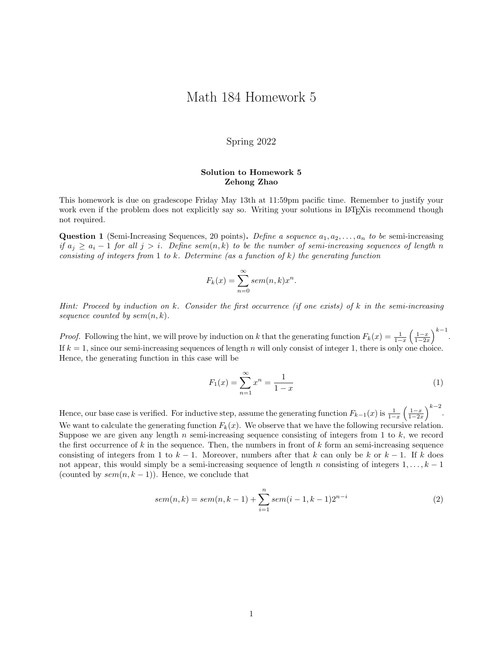## Math 184 Homework 5

## Spring 2022

## Solution to Homework 5 Zehong Zhao

This homework is due on gradescope Friday May 13th at 11:59pm pacific time. Remember to justify your work even if the problem does not explicitly say so. Writing your solutions in L<sup>AT</sup>EXIs recommend though not required.

**Question 1** (Semi-Increasing Sequences, 20 points). Define a sequence  $a_1, a_2, \ldots, a_n$  to be semi-increasing if  $a_j \ge a_i - 1$  for all  $j > i$ . Define sem $(n, k)$  to be the number of semi-increasing sequences of length n consisting of integers from 1 to k. Determine (as a function of k) the generating function

$$
F_k(x) = \sum_{n=0}^{\infty} sem(n,k)x^n.
$$

Hint: Proceed by induction on k. Consider the first occurrence (if one exists) of  $k$  in the semi-increasing sequence counted by  $sem(n, k)$ .

*Proof.* Following the hint, we will prove by induction on k that the generating function  $F_k(x) = \frac{1}{1-x} \left(\frac{1-x}{1-2x}\right)^{k-1}$ . If  $k = 1$ , since our semi-increasing sequences of length n will only consist of integer 1, there is only one choice. Hence, the generating function in this case will be

$$
F_1(x) = \sum_{n=1}^{\infty} x^n = \frac{1}{1-x}
$$
 (1)

Hence, our base case is verified. For inductive step, assume the generating function  $F_{k-1}(x)$  is  $\frac{1}{1-x}\left(\frac{1-x}{1-2x}\right)^{k-2}$ . We want to calculate the generating function  $F_k(x)$ . We observe that we have the following recursive relation. Suppose we are given any length n semi-increasing sequence consisting of integers from 1 to  $k$ , we record the first occurrence of  $k$  in the sequence. Then, the numbers in front of  $k$  form an semi-increasing sequence consisting of integers from 1 to  $k-1$ . Moreover, numbers after that k can only be k or  $k-1$ . If k does not appear, this would simply be a semi-increasing sequence of length n consisting of integers  $1, \ldots, k - 1$ (counted by  $sem(n, k-1)$ ). Hence, we conclude that

$$
sem(n,k) = sem(n,k-1) + \sum_{i=1}^{n} sem(i-1,k-1)2^{n-i}
$$
\n(2)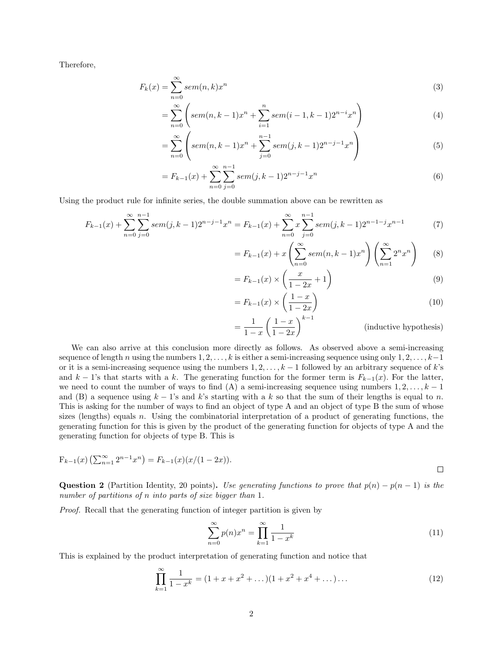Therefore,

$$
F_k(x) = \sum_{n=0}^{\infty} sem(n,k)x^n
$$
\n(3)

$$
= \sum_{n=0}^{\infty} \left( \operatorname{sem}(n,k-1)x^n + \sum_{i=1}^{n} \operatorname{sem}(i-1,k-1)2^{n-i}x^n \right) \tag{4}
$$

$$
= \sum_{n=0}^{\infty} \left( \operatorname{sem}(n,k-1)x^n + \sum_{j=0}^{n-1} \operatorname{sem}(j,k-1)2^{n-j-1}x^n \right) \tag{5}
$$

$$
= F_{k-1}(x) + \sum_{n=0}^{\infty} \sum_{j=0}^{n-1} sem(j, k-1)2^{n-j-1}x^n
$$
\n(6)

Using the product rule for infinite series, the double summation above can be rewritten as

$$
F_{k-1}(x) + \sum_{n=0}^{\infty} \sum_{j=0}^{n-1} sem(j, k-1)2^{n-j-1}x^n = F_{k-1}(x) + \sum_{n=0}^{\infty} x \sum_{j=0}^{n-1} sem(j, k-1)2^{n-1-j}x^{n-1}
$$
(7)

$$
=F_{k-1}(x)+x\left(\sum_{n=0}^{\infty}sem(n,k-1)x^n\right)\left(\sum_{n=1}^{\infty} 2^n x^n\right) \tag{8}
$$

$$
= F_{k-1}(x) \times \left(\frac{x}{1-2x} + 1\right) \tag{9}
$$

$$
=F_{k-1}(x) \times \left(\frac{1-x}{1-2x}\right) \tag{10}
$$

$$
= \frac{1}{1-x} \left(\frac{1-x}{1-2x}\right)^{k-1}
$$
 (inductive hypothesis)

We can also arrive at this conclusion more directly as follows. As observed above a semi-increasing sequence of length n using the numbers  $1, 2, \ldots, k$  is either a semi-increasing sequence using only  $1, 2, \ldots, k-1$ or it is a semi-increasing sequence using the numbers  $1, 2, \ldots, k-1$  followed by an arbitrary sequence of k's and k − 1's that starts with a k. The generating function for the former term is  $F_{k-1}(x)$ . For the latter, we need to count the number of ways to find (A) a semi-increasing sequence using numbers  $1, 2, \ldots, k - 1$ and (B) a sequence using  $k - 1$ 's and k's starting with a k so that the sum of their lengths is equal to n. This is asking for the number of ways to find an object of type A and an object of type B the sum of whose sizes (lengths) equals n. Using the combinatorial interpretation of a product of generating functions, the generating function for this is given by the product of the generating function for objects of type A and the generating function for objects of type B. This is

$$
F_{k-1}(x) \left( \sum_{n=1}^{\infty} 2^{n-1} x^n \right) = F_{k-1}(x) (x/(1-2x)).
$$

Question 2 (Partition Identity, 20 points). Use generating functions to prove that  $p(n) - p(n-1)$  is the number of partitions of n into parts of size bigger than 1.

Proof. Recall that the generating function of integer partition is given by

$$
\sum_{n=0}^{\infty} p(n)x^n = \prod_{k=1}^{\infty} \frac{1}{1-x^k}
$$
\n(11)

This is explained by the product interpretation of generating function and notice that

$$
\prod_{k=1}^{\infty} \frac{1}{1 - x^k} = (1 + x + x^2 + \dots)(1 + x^2 + x^4 + \dots) \dots \tag{12}
$$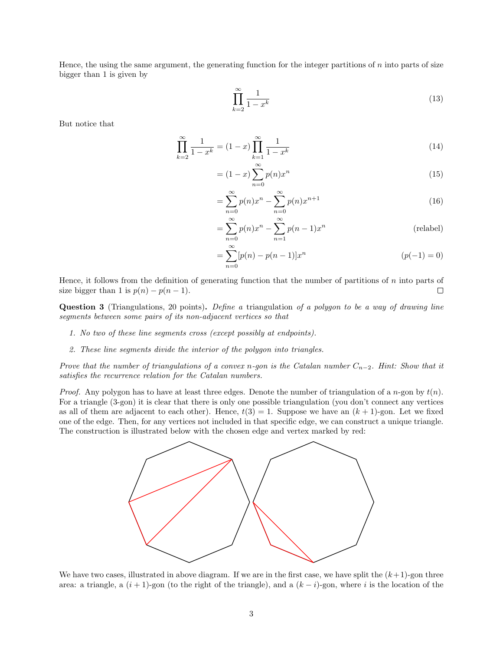Hence, the using the same argument, the generating function for the integer partitions of n into parts of size bigger than 1 is given by

$$
\prod_{k=2}^{\infty} \frac{1}{1-x^k} \tag{13}
$$

But notice that

$$
\prod_{k=2}^{\infty} \frac{1}{1-x^k} = (1-x) \prod_{k=1}^{\infty} \frac{1}{1-x^k}
$$
\n(14)

$$
= (1-x)\sum_{n=0}^{\infty} p(n)x^n
$$
\n(15)

$$
=\sum_{n=0}^{\infty} p(n)x^n - \sum_{n=0}^{\infty} p(n)x^{n+1}
$$
\n(16)

$$
\sum_{n=0}^{\infty} p(n)x^n - \sum_{n=1}^{\infty} p(n-1)x^n
$$
 (relabel)

$$
= \sum_{n=0}^{\infty} [p(n) - p(n-1)]x^n
$$
 (p(-1) = 0)

Hence, it follows from the definition of generating function that the number of partitions of  $n$  into parts of size bigger than 1 is  $p(n) - p(n-1)$ . П

=

=

Question 3 (Triangulations, 20 points). Define a triangulation of a polygon to be a way of drawing line segments between some pairs of its non-adjacent vertices so that

- 1. No two of these line segments cross (except possibly at endpoints).
- 2. These line segments divide the interior of the polygon into triangles.

Prove that the number of triangulations of a convex n-gon is the Catalan number  $C_{n-2}$ . Hint: Show that it satisfies the recurrence relation for the Catalan numbers.

*Proof.* Any polygon has to have at least three edges. Denote the number of triangulation of a n-gon by  $t(n)$ . For a triangle (3-gon) it is clear that there is only one possible triangulation (you don't connect any vertices as all of them are adjacent to each other). Hence,  $t(3) = 1$ . Suppose we have an  $(k + 1)$ -gon. Let we fixed one of the edge. Then, for any vertices not included in that specific edge, we can construct a unique triangle. The construction is illustrated below with the chosen edge and vertex marked by red:



We have two cases, illustrated in above diagram. If we are in the first case, we have split the  $(k+1)$ -gon three area: a triangle, a  $(i + 1)$ -gon (to the right of the triangle), and a  $(k - i)$ -gon, where i is the location of the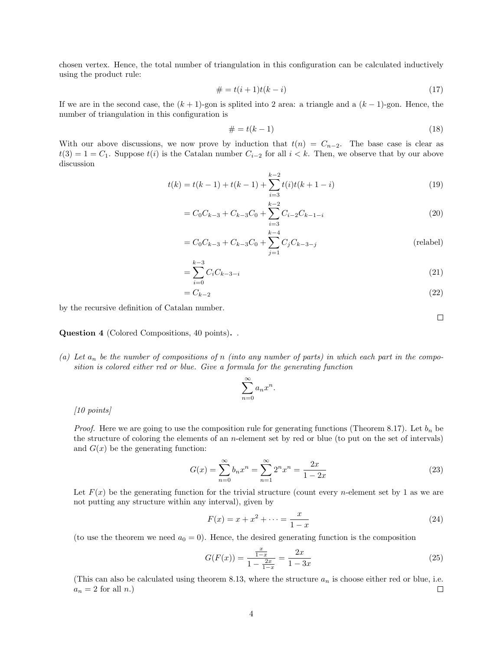chosen vertex. Hence, the total number of triangulation in this configuration can be calculated inductively using the product rule:

$$
# = t(i + 1)t(k - i)
$$
\n(17)

If we are in the second case, the  $(k + 1)$ -gon is splited into 2 area: a triangle and a  $(k - 1)$ -gon. Hence, the number of triangulation in this configuration is

$$
\# = t(k-1) \tag{18}
$$

With our above discussions, we now prove by induction that  $t(n) = C_{n-2}$ . The base case is clear as  $t(3) = 1 = C_1$ . Suppose  $t(i)$  is the Catalan number  $C_{i-2}$  for all  $i < k$ . Then, we observe that by our above discussion

$$
t(k) = t(k-1) + t(k-1) + \sum_{i=3}^{k-2} t(i)t(k+1-i)
$$
\n(19)

$$
= C_0 C_{k-3} + C_{k-3} C_0 + \sum_{i=3}^{k-2} C_{i-2} C_{k-1-i}
$$
\n(20)

$$
= C_0 C_{k-3} + C_{k-3} C_0 + \sum_{j=1}^{k-4} C_j C_{k-3-j}
$$
 (relabel)

$$
=\sum_{i=0}^{k-3} C_i C_{k-3-i}
$$
\n(21)

$$
=C_{k-2}
$$
\n<sup>(22)</sup>

by the recursive definition of Catalan number.

Question 4 (Colored Compositions, 40 points). .

(a) Let  $a_n$  be the number of compositions of n (into any number of parts) in which each part in the composition is colored either red or blue. Give a formula for the generating function

$$
\sum_{n=0}^{\infty} a_n x^n.
$$

[10 points]

*Proof.* Here we are going to use the composition rule for generating functions (Theorem 8.17). Let  $b_n$  be the structure of coloring the elements of an  $n$ -element set by red or blue (to put on the set of intervals) and  $G(x)$  be the generating function:

$$
G(x) = \sum_{n=0}^{\infty} b_n x^n = \sum_{n=1}^{\infty} 2^n x^n = \frac{2x}{1 - 2x}
$$
 (23)

Let  $F(x)$  be the generating function for the trivial structure (count every *n*-element set by 1 as we are not putting any structure within any interval), given by

$$
F(x) = x + x^{2} + \dots = \frac{x}{1 - x}
$$
 (24)

(to use the theorem we need  $a_0 = 0$ ). Hence, the desired generating function is the composition

$$
G(F(x)) = \frac{\frac{x}{1-x}}{1 - \frac{2x}{1-x}} = \frac{2x}{1 - 3x}
$$
\n(25)

(This can also be calculated using theorem 8.13, where the structure  $a_n$  is choose either red or blue, i.e.  $a_n = 2$  for all n.)  $\Box$ 

 $\Box$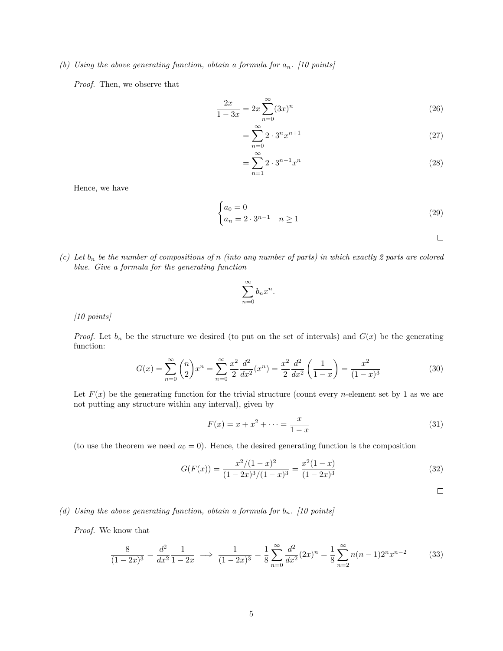(b) Using the above generating function, obtain a formula for  $a_n$ . [10 points]

Proof. Then, we observe that

$$
\frac{2x}{1-3x} = 2x \sum_{n=0}^{\infty} (3x)^n
$$
\n(26)

$$
=\sum_{n=0}^{\infty} 2 \cdot 3^n x^{n+1} \tag{27}
$$

$$
=\sum_{n=1}^{\infty} 2 \cdot 3^{n-1} x^n \tag{28}
$$

Hence, we have

$$
\begin{cases} a_0 = 0 \\ a_n = 2 \cdot 3^{n-1} & n \ge 1 \end{cases}
$$
 (29)

 $\Box$ 

(c) Let  $b_n$  be the number of compositions of n (into any number of parts) in which exactly 2 parts are colored blue. Give a formula for the generating function

$$
\sum_{n=0}^{\infty} b_n x^n.
$$

[10 points]

*Proof.* Let  $b_n$  be the structure we desired (to put on the set of intervals) and  $G(x)$  be the generating function:

$$
G(x) = \sum_{n=0}^{\infty} {n \choose 2} x^n = \sum_{n=0}^{\infty} \frac{x^2}{2} \frac{d^2}{dx^2} (x^n) = \frac{x^2}{2} \frac{d^2}{dx^2} \left( \frac{1}{1-x} \right) = \frac{x^2}{(1-x)^3}
$$
(30)

Let  $F(x)$  be the generating function for the trivial structure (count every *n*-element set by 1 as we are not putting any structure within any interval), given by

$$
F(x) = x + x^{2} + \dots = \frac{x}{1 - x}
$$
\n(31)

(to use the theorem we need  $a_0 = 0$ ). Hence, the desired generating function is the composition

$$
G(F(x)) = \frac{x^2/(1-x)^2}{(1-2x)^3/(1-x)^3} = \frac{x^2(1-x)}{(1-2x)^3}
$$
(32)

 $\Box$ 

(d) Using the above generating function, obtain a formula for  $b_n$ . [10 points]

Proof. We know that

$$
\frac{8}{(1-2x)^3} = \frac{d^2}{dx^2} \frac{1}{1-2x} \implies \frac{1}{(1-2x)^3} = \frac{1}{8} \sum_{n=0}^{\infty} \frac{d^2}{dx^2} (2x)^n = \frac{1}{8} \sum_{n=2}^{\infty} n(n-1)2^n x^{n-2}
$$
(33)